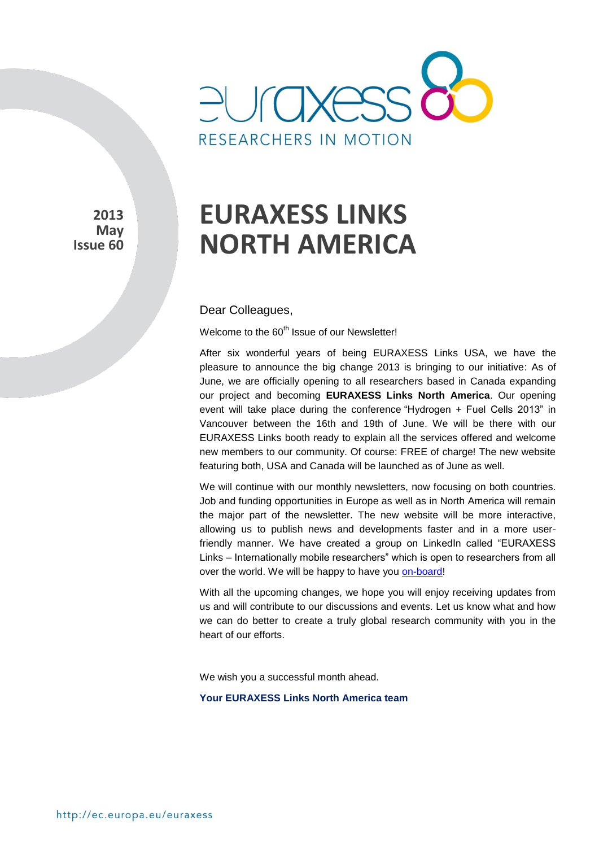

**2013 May Issue 60**

# **EURAXESS LINKS NORTH AMERICA**

Dear Colleagues,

Welcome to the 60<sup>th</sup> Issue of our Newsletter!

After six wonderful years of being EURAXESS Links USA, we have the pleasure to announce the big change 2013 is bringing to our initiative: As of June, we are officially opening to all researchers based in Canada expanding our project and becoming **EURAXESS Links North America**. Our opening event will take place during the conference "Hydrogen + Fuel Cells 2013" in Vancouver between the 16th and 19th of June. We will be there with our EURAXESS Links booth ready to explain all the services offered and welcome new members to our community. Of course: FREE of charge! The new website featuring both, USA and Canada will be launched as of June as well.

We will continue with our monthly newsletters, now focusing on both countries. Job and funding opportunities in Europe as well as in North America will remain the major part of the newsletter. The new website will be more interactive, allowing us to publish news and developments faster and in a more userfriendly manner. We have created a group on LinkedIn called "EURAXESS Links – Internationally mobile researchers" which is open to researchers from all over the world. We will be happy to have you [on-board!](http://www.linkedin.com/groups?home=&gid=4990889&trk=anet_ug_hm&goback=%2Egde_4990889_member_242429867)

With all the upcoming changes, we hope you will enjoy receiving updates from us and will contribute to our discussions and events. Let us know what and how we can do better to create a truly global research community with you in the heart of our efforts.

We wish you a successful month ahead.

**Your EURAXESS Links North America team**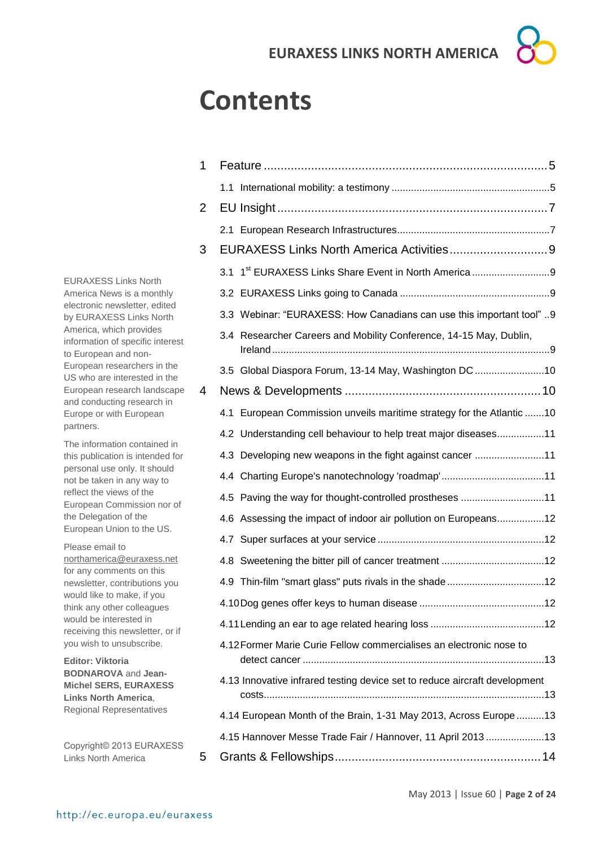# **Contents**

| 1              |                                                                            |  |
|----------------|----------------------------------------------------------------------------|--|
|                |                                                                            |  |
| $\overline{2}$ |                                                                            |  |
|                |                                                                            |  |
| 3              |                                                                            |  |
|                | 1 <sup>st</sup> EURAXESS Links Share Event in North America<br>3.1         |  |
|                |                                                                            |  |
|                | 3.3 Webinar: "EURAXESS: How Canadians can use this important tool" 9       |  |
|                | 3.4 Researcher Careers and Mobility Conference, 14-15 May, Dublin,         |  |
|                | 3.5 Global Diaspora Forum, 13-14 May, Washington DC 10                     |  |
| 4              |                                                                            |  |
|                | European Commission unveils maritime strategy for the Atlantic  10<br>4.1  |  |
|                | 4.2 Understanding cell behaviour to help treat major diseases11            |  |
|                | 4.3 Developing new weapons in the fight against cancer 11                  |  |
|                | 4.4 Charting Europe's nanotechnology 'roadmap'11                           |  |
|                | 4.5 Paving the way for thought-controlled prostheses 11                    |  |
|                | 4.6 Assessing the impact of indoor air pollution on Europeans12            |  |
|                |                                                                            |  |
|                |                                                                            |  |
|                | 4.9 Thin-film "smart glass" puts rivals in the shade12                     |  |
|                |                                                                            |  |
|                |                                                                            |  |
|                | 4.12 Former Marie Curie Fellow commercialises an electronic nose to        |  |
|                | 4.13 Innovative infrared testing device set to reduce aircraft development |  |
|                | 4.14 European Month of the Brain, 1-31 May 2013, Across Europe 13          |  |
|                | 4.15 Hannover Messe Trade Fair / Hannover, 11 April 2013 13                |  |
| 5              |                                                                            |  |

EURAXESS Links North America News is a monthly electronic newsletter, edited by EURAXESS Links North America, which provides information of specific interest to European and non-European researchers in the US who are interested in the European research landscape and conducting research in Europe or with European partners.

The information contained in this publication is intended for personal use only. It should not be taken in any way to reflect the views of the European Commission nor of the Delegation of the European Union to the US.

Please email to [northamerica@euraxess.net](mailto:northamerica@euraxess.net) for any comments on this newsletter, contributions you would like to make, if you think any other colleagues would be interested in receiving this newsletter, or if you wish to unsubscribe.

**Editor: Viktoria BODNAROVA** and **Jean-Michel SERS, EURAXESS Links North America**, Regional Representatives

Copyright© 2013 EURAXESS Links North America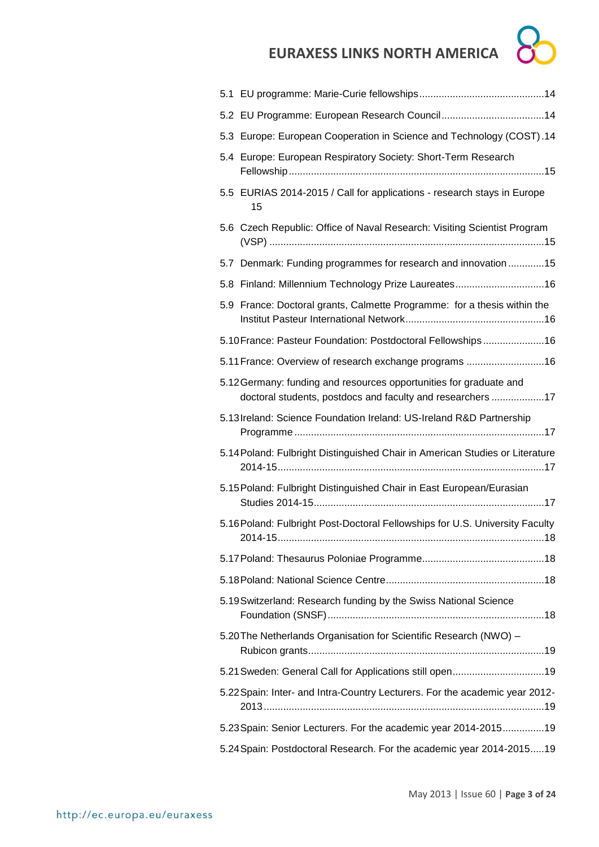$\sum$ 

| 5.2 EU Programme: European Research Council14                                                                                    |
|----------------------------------------------------------------------------------------------------------------------------------|
| 5.3 Europe: European Cooperation in Science and Technology (COST).14                                                             |
| 5.4 Europe: European Respiratory Society: Short-Term Research                                                                    |
| 5.5 EURIAS 2014-2015 / Call for applications - research stays in Europe<br>15                                                    |
| 5.6 Czech Republic: Office of Naval Research: Visiting Scientist Program                                                         |
| 5.7 Denmark: Funding programmes for research and innovation15                                                                    |
| 5.8 Finland: Millennium Technology Prize Laureates16                                                                             |
| 5.9 France: Doctoral grants, Calmette Programme: for a thesis within the                                                         |
| 5.10 France: Pasteur Foundation: Postdoctoral Fellowships16                                                                      |
| 5.11 France: Overview of research exchange programs 16                                                                           |
| 5.12 Germany: funding and resources opportunities for graduate and<br>doctoral students, postdocs and faculty and researchers 17 |
| 5.13 Ireland: Science Foundation Ireland: US-Ireland R&D Partnership                                                             |
| 5.14 Poland: Fulbright Distinguished Chair in American Studies or Literature                                                     |
| 5.15 Poland: Fulbright Distinguished Chair in East European/Eurasian                                                             |
| 5.16 Poland: Fulbright Post-Doctoral Fellowships for U.S. University Faculty                                                     |
|                                                                                                                                  |
|                                                                                                                                  |
| 5.19 Switzerland: Research funding by the Swiss National Science                                                                 |
| 5.20 The Netherlands Organisation for Scientific Research (NWO) -                                                                |
| 5.21 Sweden: General Call for Applications still open19                                                                          |
| 5.22 Spain: Inter- and Intra-Country Lecturers. For the academic year 2012-                                                      |
| 5.23 Spain: Senior Lecturers. For the academic year 2014-201519                                                                  |
| 5.24 Spain: Postdoctoral Research. For the academic year 2014-2015 19                                                            |
|                                                                                                                                  |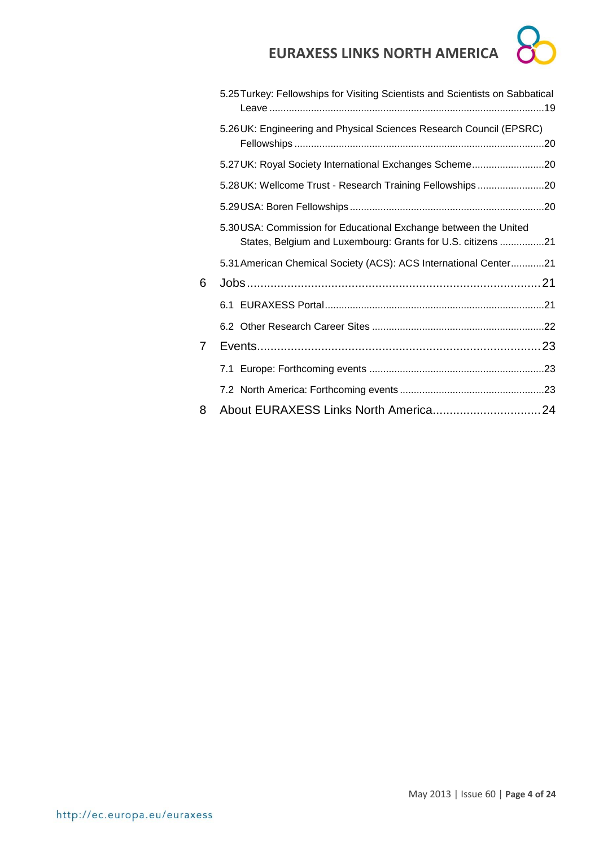|   | EURAXESS LIINKS NURTH AIVIERICA                                                                                                 |
|---|---------------------------------------------------------------------------------------------------------------------------------|
|   | 5.25 Turkey: Fellowships for Visiting Scientists and Scientists on Sabbatical                                                   |
|   | 5.26 UK: Engineering and Physical Sciences Research Council (EPSRC)                                                             |
|   | 5.27 UK: Royal Society International Exchanges Scheme20                                                                         |
|   | 5.28 UK: Wellcome Trust - Research Training Fellowships20                                                                       |
|   |                                                                                                                                 |
|   | 5.30 USA: Commission for Educational Exchange between the United<br>States, Belgium and Luxembourg: Grants for U.S. citizens 21 |
|   | 5.31 American Chemical Society (ACS): ACS International Center21                                                                |
| 6 |                                                                                                                                 |
|   |                                                                                                                                 |
|   |                                                                                                                                 |
| 7 |                                                                                                                                 |
|   |                                                                                                                                 |
|   |                                                                                                                                 |
| 8 |                                                                                                                                 |
|   |                                                                                                                                 |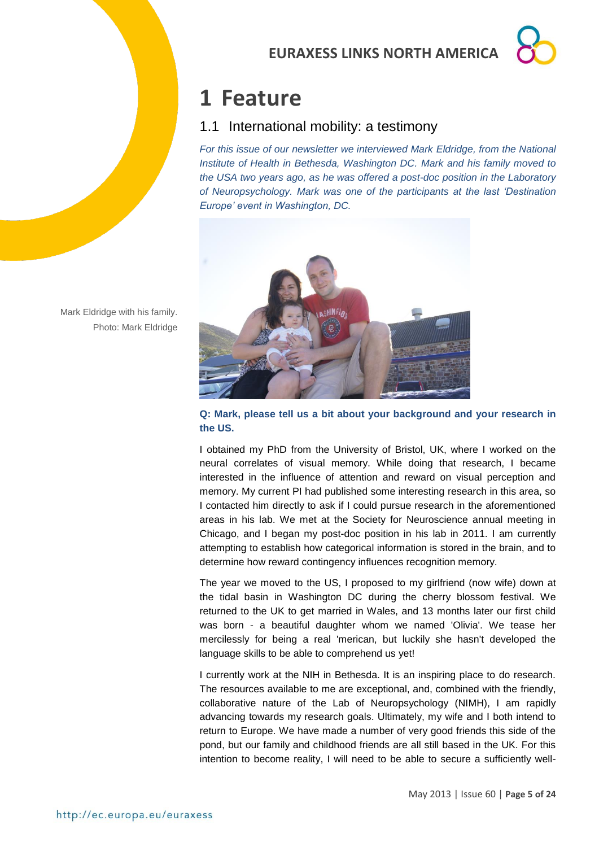## <span id="page-4-0"></span>**1 Feature**

## <span id="page-4-1"></span>1.1 International mobility: a testimony

*For this issue of our newsletter we interviewed Mark Eldridge, from the National Institute of Health in Bethesda, Washington DC. Mark and his family moved to the USA two years ago, as he was offered a post-doc position in the Laboratory of Neuropsychology. Mark was one of the participants at the last 'Destination Europe' event in Washington, DC.*



Mark Eldridge with his family. Photo: Mark Eldridge

**Q: Mark, please tell us a bit about your background and your research in the US.**

I obtained my PhD from the University of Bristol, UK, where I worked on the neural correlates of visual memory. While doing that research, I became interested in the influence of attention and reward on visual perception and memory. My current PI had published some interesting research in this area, so I contacted him directly to ask if I could pursue research in the aforementioned areas in his lab. We met at the Society for Neuroscience annual meeting in Chicago, and I began my post-doc position in his lab in 2011. I am currently attempting to establish how categorical information is stored in the brain, and to determine how reward contingency influences recognition memory.

The year we moved to the US, I proposed to my girlfriend (now wife) down at the tidal basin in Washington DC during the cherry blossom festival. We returned to the UK to get married in Wales, and 13 months later our first child was born - a beautiful daughter whom we named 'Olivia'. We tease her mercilessly for being a real 'merican, but luckily she hasn't developed the language skills to be able to comprehend us yet!

I currently work at the NIH in Bethesda. It is an inspiring place to do research. The resources available to me are exceptional, and, combined with the friendly, collaborative nature of the Lab of Neuropsychology (NIMH), I am rapidly advancing towards my research goals. Ultimately, my wife and I both intend to return to Europe. We have made a number of very good friends this side of the pond, but our family and childhood friends are all still based in the UK. For this intention to become reality, I will need to be able to secure a sufficiently well-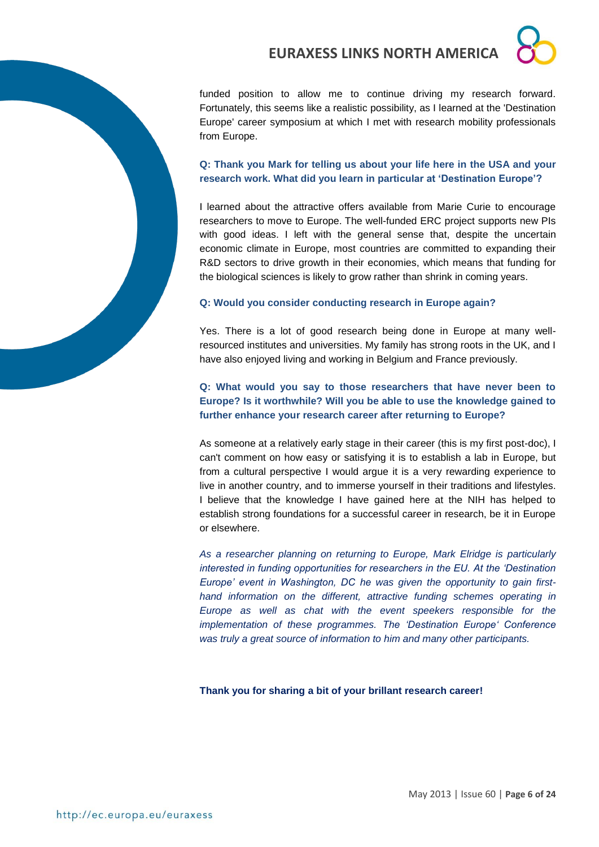funded position to allow me to continue driving my research forward. Fortunately, this seems like a realistic possibility, as I learned at the 'Destination Europe' career symposium at which I met with research mobility professionals from Europe.

#### **Q: Thank you Mark for telling us about your life here in the USA and your research work. What did you learn in particular at 'Destination Europe'?**

I learned about the attractive offers available from Marie Curie to encourage researchers to move to Europe. The well-funded ERC project supports new PIs with good ideas. I left with the general sense that, despite the uncertain economic climate in Europe, most countries are committed to expanding their R&D sectors to drive growth in their economies, which means that funding for the biological sciences is likely to grow rather than shrink in coming years.

### **Q: Would you consider conducting research in Europe again?**

Yes. There is a lot of good research being done in Europe at many wellresourced institutes and universities. My family has strong roots in the UK, and I have also enjoyed living and working in Belgium and France previously.

### **Q: What would you say to those researchers that have never been to Europe? Is it worthwhile? Will you be able to use the knowledge gained to further enhance your research career after returning to Europe?**

As someone at a relatively early stage in their career (this is my first post-doc), I can't comment on how easy or satisfying it is to establish a lab in Europe, but from a cultural perspective I would argue it is a very rewarding experience to live in another country, and to immerse yourself in their traditions and lifestyles. I believe that the knowledge I have gained here at the NIH has helped to establish strong foundations for a successful career in research, be it in Europe or elsewhere.

*As a researcher planning on returning to Europe, Mark Elridge is particularly interested in funding opportunities for researchers in the EU. At the 'Destination Europe' event in Washington, DC he was given the opportunity to gain firsthand information on the different, attractive funding schemes operating in Europe as well as chat with the event speekers responsible for the implementation of these programmes. The 'Destination Europe' Conference was truly a great source of information to him and many other participants.*

**Thank you for sharing a bit of your brillant research career!**

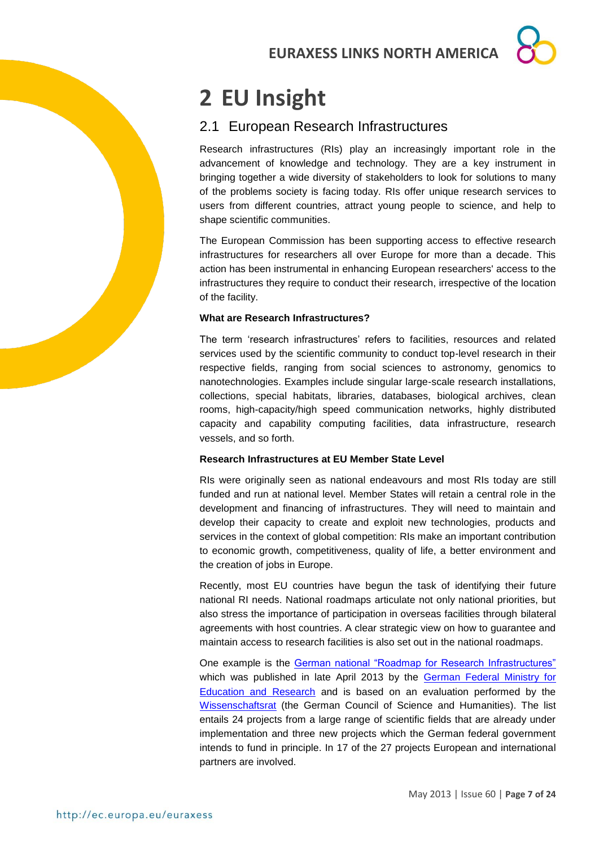# <span id="page-6-0"></span>**2 EU Insight**

## <span id="page-6-1"></span>2.1 European Research Infrastructures

Research infrastructures (RIs) play an increasingly important role in the advancement of knowledge and technology. They are a key instrument in bringing together a wide diversity of stakeholders to look for solutions to many of the problems society is facing today. RIs offer unique research services to users from different countries, attract young people to science, and help to shape scientific communities.

The European Commission has been supporting access to effective research infrastructures for researchers all over Europe for more than a decade. This action has been instrumental in enhancing European researchers' access to the infrastructures they require to conduct their research, irrespective of the location of the facility.

#### **What are Research Infrastructures?**

The term 'research infrastructures' refers to facilities, resources and related services used by the scientific community to conduct top-level research in their respective fields, ranging from social sciences to astronomy, genomics to nanotechnologies. Examples include singular large-scale research installations, collections, special habitats, libraries, databases, biological archives, clean rooms, high-capacity/high speed communication networks, highly distributed capacity and capability computing facilities, data infrastructure, research vessels, and so forth.

#### **Research Infrastructures at EU Member State Level**

RIs were originally seen as national endeavours and most RIs today are still funded and run at national level. Member States will retain a central role in the development and financing of infrastructures. They will need to maintain and develop their capacity to create and exploit new technologies, products and services in the context of global competition: RIs make an important contribution to economic growth, competitiveness, quality of life, a better environment and the creation of jobs in Europe.

Recently, most EU countries have begun the task of identifying their future national RI needs. National roadmaps articulate not only national priorities, but also stress the importance of participation in overseas facilities through bilateral agreements with host countries. A clear strategic view on how to guarantee and maintain access to research facilities is also set out in the national roadmaps.

One example is the [German national "Roadmap for Research Infrastructures"](http://www.bmbf.de/pub/Roadmap.pdf) which was published in late April 2013 by the [German Federal Ministry for](http://www.bmbf.de/en/index.php)  [Education and Research](http://www.bmbf.de/en/index.php) and is based on an evaluation performed by the [Wissenschaftsrat](http://www.wissenschaftsrat.de/en/home.html) (the German Council of Science and Humanities). The list entails 24 projects from a large range of scientific fields that are already under implementation and three new projects which the German federal government intends to fund in principle. In 17 of the 27 projects European and international partners are involved.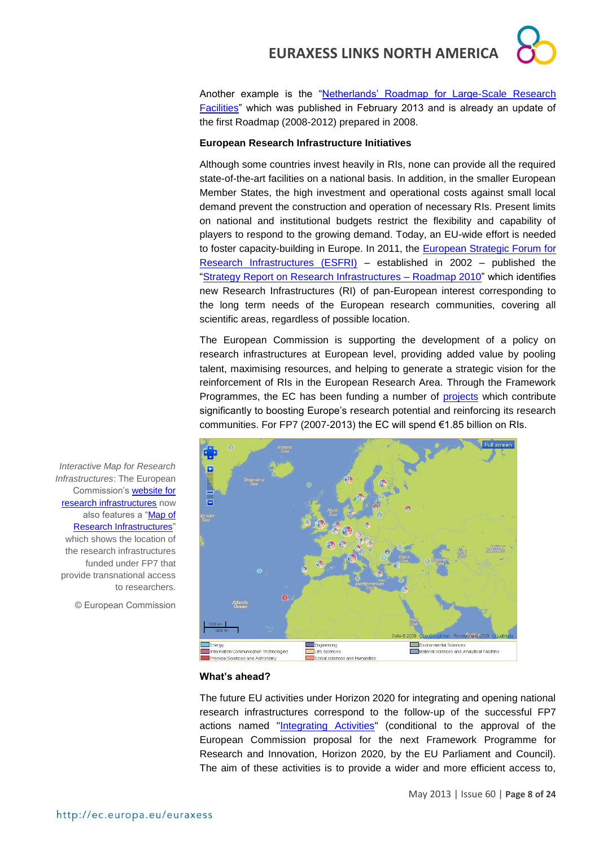Another example is the "Netherlands' Roadmap for Large-Scale Research [Facilities"](http://ec.europa.eu/research/infrastructures/pdf/roadmap_research_infrastructures_the_netherlands_2012.pdf#view=fit&pagemode=none) which was published in February 2013 and is already an update of the first Roadmap (2008-2012) prepared in 2008.

#### **European Research Infrastructure Initiatives**

Although some countries invest heavily in RIs, none can provide all the required state-of-the-art facilities on a national basis. In addition, in the smaller European Member States, the high investment and operational costs against small local demand prevent the construction and operation of necessary RIs. Present limits on national and institutional budgets restrict the flexibility and capability of players to respond to the growing demand. Today, an EU-wide effort is needed to foster capacity-building in Europe. In 2011, the [European Strategic Forum for](http://ec.europa.eu/research/infrastructures/index_en.cfm?pg=esfri)  [Research Infrastructures \(ESFRI\)](http://ec.europa.eu/research/infrastructures/index_en.cfm?pg=esfri) – established in 2002 – published the ["Strategy Report on Research Infrastructures –](http://ec.europa.eu/research/infrastructures/pdf/esfri-strategy_report_and_roadmap.pdf#view=fit&pagemode=none) Roadmap 2010" which identifies new Research Infrastructures (RI) of pan-European interest corresponding to the long term needs of the European research communities, covering all scientific areas, regardless of possible location.

The European Commission is supporting the development of a policy on research infrastructures at European level, providing added value by pooling talent, maximising resources, and helping to generate a strategic vision for the reinforcement of RIs in the European Research Area. Through the Framework Programmes, the EC has been funding a number of [projects](http://ec.europa.eu/research/infrastructures/index_en.cfm?pg=ri_projects_fp7) which contribute significantly to boosting Europe's research potential and reinforcing its research communities. For FP7 (2007-2013) the EC will spend €1.85 billion on RIs.



*Interactive Map for Research Infrastructures*: The European Commission's [website for](http://ec.europa.eu/research/infrastructures/index_en.cfm)  [research infrastructures](http://ec.europa.eu/research/infrastructures/index_en.cfm) now also features a ["Map of](http://ec.europa.eu/research/infrastructures/index_en.cfm?pg=mapri)  [Research Infrastructures"](http://ec.europa.eu/research/infrastructures/index_en.cfm?pg=mapri) which shows the location of the research infrastructures funded under FP7 that provide transnational access to researchers.

© European Commission

#### **What's ahead?**

The future EU activities under Horizon 2020 for integrating and opening national research infrastructures correspond to the follow-up of the successful FP7 actions named ["Integrating Activities"](http://ec.europa.eu/research/infrastructures/index_en.cfm?pg=existing_infra) (conditional to the approval of the European Commission proposal for the next Framework Programme for Research and Innovation, Horizon 2020, by the EU Parliament and Council). The aim of these activities is to provide a wider and more efficient access to,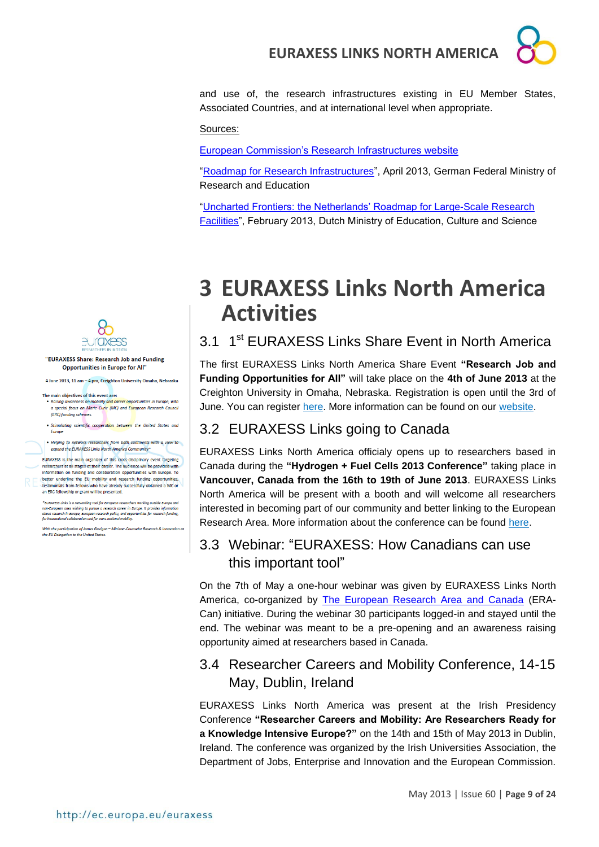

and use of, the research infrastructures existing in EU Member States, Associated Countries, and at international level when appropriate.

#### Sources:

[European Commission's Research Infrastructures website](http://ec.europa.eu/research/infrastructures/index_en.cfm?pg=home)

["Roadmap for Research Infrastructures"](http://www.bmbf.de/pub/Roadmap.pdf), April 2013, German Federal Ministry of Research and Education

["Uncharted Frontiers: the Netherlands' Roadmap for Large-Scale Research](http://ec.europa.eu/research/infrastructures/pdf/roadmap_research_infrastructures_the_netherlands_2012.pdf#view=fit&pagemode=none)  [Facilities"](http://ec.europa.eu/research/infrastructures/pdf/roadmap_research_infrastructures_the_netherlands_2012.pdf#view=fit&pagemode=none), February 2013, Dutch Ministry of Education, Culture and Science

<span id="page-8-0"></span>

## <span id="page-8-1"></span>3.1 1<sup>st</sup> EURAXESS Links Share Event in North America

The first EURAXESS Links North America Share Event **"Research Job and Funding Opportunities for All"** will take place on the **4th of June 2013** at the Creighton University in Omaha, Nebraska. Registration is open until the 3rd of June. You can register [here.](http://www.eventbrite.com/event/6621353647) More information can be found on our [website.](http://ec.europa.eu/euraxess/links/usa/index_en.htm)

### <span id="page-8-2"></span>3.2 EURAXESS Links going to Canada

EURAXESS Links North America officialy opens up to researchers based in Canada during the **"Hydrogen + Fuel Cells 2013 Conference"** taking place in **Vancouver, Canada from the 16th to 19th of June 2013**. EURAXESS Links North America will be present with a booth and will welcome all researchers interested in becoming part of our community and better linking to the European Research Area. More information about the conference can be found [here.](http://www.hfc2013.com/)

## <span id="page-8-3"></span>3.3 Webinar: "EURAXESS: How Canadians can use this important tool"

On the 7th of May a one-hour webinar was given by EURAXESS Links North America, co-organized by [The European Research Area and Canada](http://www.era-can.ca/) (ERA-Can) initiative. During the webinar 30 participants logged-in and stayed until the end. The webinar was meant to be a pre-opening and an awareness raising opportunity aimed at researchers based in Canada.

## <span id="page-8-4"></span>3.4 Researcher Careers and Mobility Conference, 14-15 May, Dublin, Ireland

EURAXESS Links North America was present at the Irish Presidency Conference **"Researcher Careers and Mobility: Are Researchers Ready for a Knowledge Intensive Europe?"** on the 14th and 15th of May 2013 in Dublin, Ireland. The conference was organized by the Irish Universities Association, the Department of Jobs, Enterprise and Innovation and the European Commission.



#### "EURAXESS Share: Research Job and Funding Opportunities in Europe for All"

4 June 2013, 11 am - 4 pm, Creighton University Omaha, Nebraska

- The main objectives of this event are:<br>• Raising awareness on mobility and career opportunities in Europe, with a special focus on Marie Curie (MC) and European Research Council (ERC) funding schemes.
- . Stimulating scientific cooperation between the United States and

. Helping to network researchers from both continents with a view to expand the EURAXESS Links North America Community\*

FURAXESS is the main organizer of this cross-disciplinary event targeting researchers at all stages of their career. The audience will be provided information on funding and collaboration opportunities with Europe. To better underline the EU mobility and research funding opportunities, testimonials from fellows who have already<br>an ERC fellowship or grant will be presented. ve already successfully obtained a MC or

\*EURAXESS Links is a networking tool for European researchers working outside European<br>non-European ones wishing to pursue a research career in Europe. It provides Information conduct research in European research function

With the participation of James Gaviga<br>the EU Delegation to the United States. vigan – Minister-Cou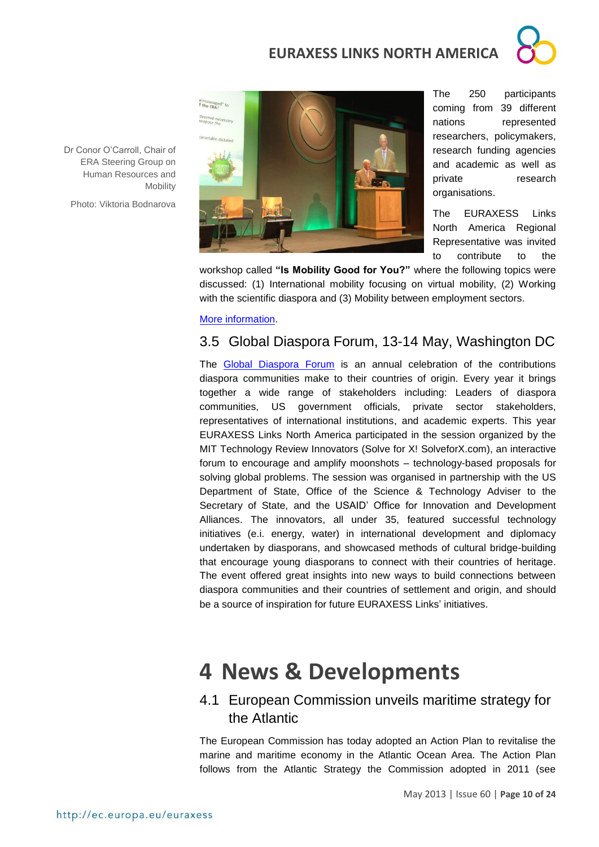

Dr Conor O'Carroll, Chair of ERA Steering Group on Human Resources and **Mobility** 

Photo: Viktoria Bodnarova



The 250 participants coming from 39 different nations represented researchers, policymakers, research funding agencies and academic as well as private research organisations.

The EURAXESS Links North America Regional Representative was invited to contribute to the

workshop called **"Is Mobility Good for You?"** where the following topics were discussed: (1) International mobility focusing on virtual mobility, (2) Working with the scientific diaspora and (3) Mobility between employment sectors.

[More information.](http://www.iua.ie/research-innovation/rcm/)

## <span id="page-9-0"></span>3.5 Global Diaspora Forum, 13-14 May, Washington DC

The [Global Diaspora Forum](http://www.globaldiasporaforum.ie/) is an annual celebration of the contributions diaspora communities make to their countries of origin. Every year it brings together a wide range of stakeholders including: Leaders of diaspora communities, US government officials, private sector stakeholders, representatives of international institutions, and academic experts. This year EURAXESS Links North America participated in the session organized by the MIT Technology Review Innovators (Solve for X! [SolveforX.com\)](http://solveforx.com/), an interactive forum to encourage and amplify moonshots – technology-based proposals for solving global problems. The session was organised in partnership with the US Department of State, Office of the Science & Technology Adviser to the Secretary of State, and the USAID' Office for Innovation and Development Alliances. The innovators, all under 35, featured successful technology initiatives (e.i. energy, water) in international development and diplomacy undertaken by diasporans, and showcased methods of cultural bridge-building that encourage young diasporans to connect with their countries of heritage. The event offered great insights into new ways to build connections between diaspora communities and their countries of settlement and origin, and should be a source of inspiration for future EURAXESS Links' initiatives.

## <span id="page-9-1"></span>**4 News & Developments**

## <span id="page-9-2"></span>4.1 European Commission unveils maritime strategy for the Atlantic

The European Commission has today adopted an Action Plan to revitalise the marine and maritime economy in the Atlantic Ocean Area. The Action Plan follows from the Atlantic Strategy the Commission adopted in 2011 (see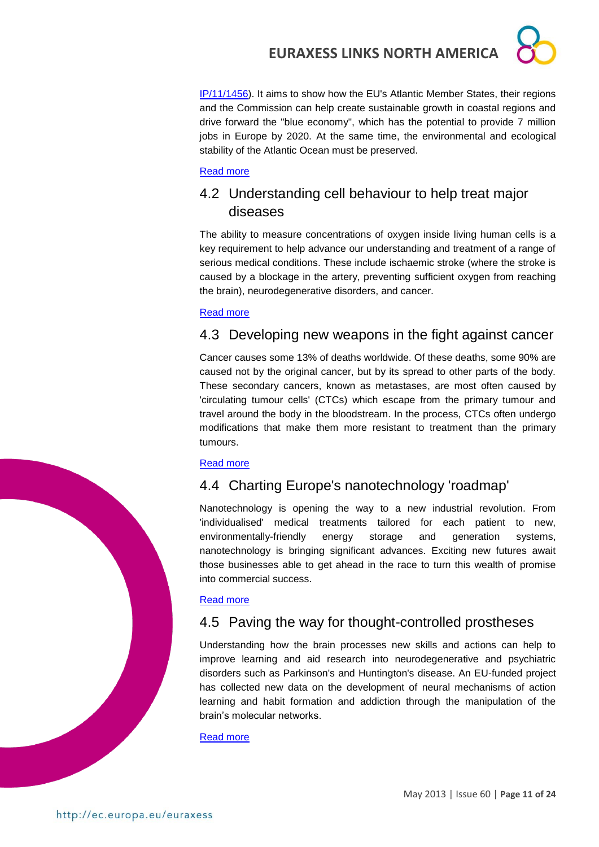[IP/11/1456\)](http://europa.eu/rapid/press-release_IP-11-1456_en.htm). It aims to show how the EU's Atlantic Member States, their regions and the Commission can help create sustainable growth in coastal regions and drive forward the "blue economy", which has the potential to provide 7 million jobs in Europe by 2020. At the same time, the environmental and ecological stability of the Atlantic Ocean must be preserved.

#### [Read more](http://ec.europa.eu/maritimeaffairs/policy/sea_basins/atlantic_ocean/index_en.htm)

## <span id="page-10-0"></span>4.2 Understanding cell behaviour to help treat major diseases

The ability to measure concentrations of oxygen inside living human cells is a key requirement to help advance our understanding and treatment of a range of serious medical conditions. These include ischaemic stroke (where the stroke is caused by a blockage in the artery, preventing sufficient oxygen from reaching the brain), neurodegenerative disorders, and cancer.

#### [Read more](http://ec.europa.eu/research/infocentre/article_en.cfm?id=/research/headlines/news/article_13_05_14_en.html&item=All&artid=29973&caller=AllHeadlines)

## <span id="page-10-1"></span>4.3 Developing new weapons in the fight against cancer

Cancer causes some 13% of deaths worldwide. Of these deaths, some 90% are caused not by the original cancer, but by its spread to other parts of the body. These secondary cancers, known as metastases, are most often caused by 'circulating tumour cells' (CTCs) which escape from the primary tumour and travel around the body in the bloodstream. In the process, CTCs often undergo modifications that make them more resistant to treatment than the primary tumours.

#### [Read more](http://ec.europa.eu/research/infocentre/article_en.cfm?id=/research/headlines/news/article_13_05_13_en.html&item=All&artid=29953&caller=AllHeadlines)

## <span id="page-10-2"></span>4.4 Charting Europe's nanotechnology 'roadmap'

Nanotechnology is opening the way to a new industrial revolution. From 'individualised' medical treatments tailored for each patient to new, environmentally-friendly energy storage and generation systems, nanotechnology is bringing significant advances. Exciting new futures await those businesses able to get ahead in the race to turn this wealth of promise into commercial success.

#### [Read more](http://ec.europa.eu/research/infocentre/article_en.cfm?id=/research/headlines/news/article_13_05_09_en.html&item=All&artid=29933&caller=AllHeadlines)

## <span id="page-10-3"></span>4.5 Paving the way for thought-controlled prostheses

Understanding how the brain processes new skills and actions can help to improve learning and aid research into neurodegenerative and psychiatric disorders such as Parkinson's and Huntington's disease. An EU-funded project has collected new data on the development of neural mechanisms of action learning and habit formation and addiction through the manipulation of the brain's molecular networks.

[Read more](http://ec.europa.eu/research/infocentre/article_en.cfm?id=/research/headlines/news/article_13_05_08_en.html&item=All&artid=29920&caller=AllHeadlines)

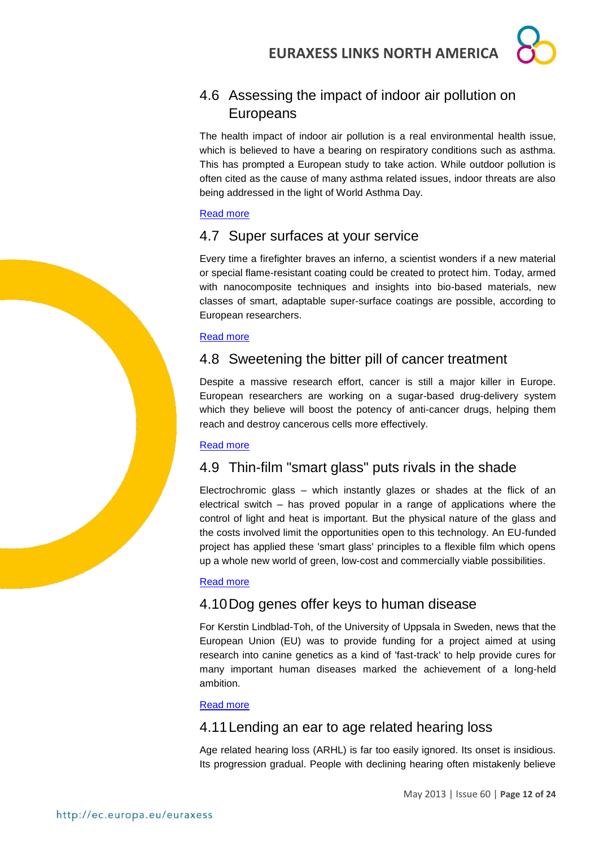## <span id="page-11-0"></span>4.6 Assessing the impact of indoor air pollution on Europeans

The health impact of indoor air pollution is a real environmental health issue, which is believed to have a bearing on respiratory conditions such as asthma. This has prompted a European study to take action. While outdoor pollution is often cited as the cause of many asthma related issues, indoor threats are also being addressed in the light of World Asthma Day.

#### [Read more](http://ec.europa.eu/research/infocentre/article_en.cfm?id=/research/headlines/news/article_13_05_07_en.html&item=All&artid=29913&caller=AllHeadlines)

## <span id="page-11-1"></span>4.7 Super surfaces at your service

Every time a firefighter braves an inferno, a scientist wonders if a new material or special flame-resistant coating could be created to protect him. Today, armed with nanocomposite techniques and insights into bio-based materials, new classes of smart, adaptable super-surface coatings are possible, according to European researchers.

#### [Read more](http://ec.europa.eu/research/infocentre/article_en.cfm?id=/research/headlines/news/article_13_05_04_en.html&item=All&artid=29893&caller=AllHeadlines)

## <span id="page-11-2"></span>4.8 Sweetening the bitter pill of cancer treatment

Despite a massive research effort, cancer is still a major killer in Europe. European researchers are working on a sugar-based drug-delivery system which they believe will boost the potency of anti-cancer drugs, helping them reach and destroy cancerous cells more effectively.

#### [Read more](http://ec.europa.eu/research/infocentre/article_en.cfm?id=/research/headlines/news/article_13_05_02_en.html&item=All&artid=29873&caller=AllHeadlines)

## <span id="page-11-3"></span>4.9 Thin-film "smart glass" puts rivals in the shade

Electrochromic glass – which instantly glazes or shades at the flick of an electrical switch – has proved popular in a range of applications where the control of light and heat is important. But the physical nature of the glass and the costs involved limit the opportunities open to this technology. An EU-funded project has applied these 'smart glass' principles to a flexible film which opens up a whole new world of green, low-cost and commercially viable possibilities.

#### [Read more](http://ec.europa.eu/research/infocentre/article_en.cfm?id=/research/headlines/news/article_13_04_30_en.html&item=All&artid=29853&caller=AllHeadlines)

## <span id="page-11-4"></span>4.10Dog genes offer keys to human disease

For Kerstin Lindblad-Toh, of the University of Uppsala in Sweden, news that the European Union (EU) was to provide funding for a project aimed at using research into canine genetics as a kind of 'fast-track' to help provide cures for many important human diseases marked the achievement of a long-held ambition.

#### [Read more](http://ec.europa.eu/research/infocentre/article_en.cfm?id=/research/headlines/news/article_13_04_29_en.html&item=All&artid=29833&caller=AllHeadlines)

## <span id="page-11-5"></span>4.11Lending an ear to age related hearing loss

Age related hearing loss (ARHL) is far too easily ignored. Its onset is insidious. Its progression gradual. People with declining hearing often mistakenly believe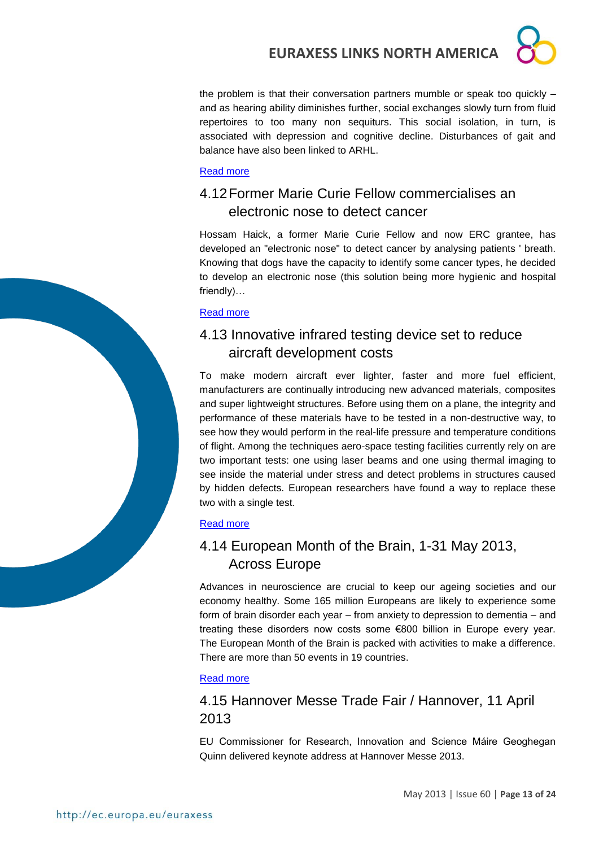the problem is that their conversation partners mumble or speak too quickly – and as hearing ability diminishes further, social exchanges slowly turn from fluid repertoires to too many non sequiturs. This social isolation, in turn, is associated with depression and cognitive decline. Disturbances of gait and balance have also been linked to ARHL.

#### [Read more](http://ec.europa.eu/research/infocentre/article_en.cfm?id=/research/headlines/news/article_13_04_26_en.html&item=All&artid=29813&caller=AllHeadlines)

## <span id="page-12-0"></span>4.12Former Marie Curie Fellow commercialises an electronic nose to detect cancer

Hossam Haick, a former Marie Curie Fellow and now ERC grantee, has developed an "electronic nose" to detect cancer by analysing patients ' breath. Knowing that dogs have the capacity to identify some cancer types, he decided to develop an electronic nose (this solution being more hygienic and hospital friendly)…

#### [Read more](http://ec.europa.eu/research/mariecurieactions/news-events/news/2013/mc_fellow_commercialises_an_electronic_nose_to_detect_cancer_en.htm)

## <span id="page-12-1"></span>4.13 Innovative infrared testing device set to reduce aircraft development costs

To make modern aircraft ever lighter, faster and more fuel efficient, manufacturers are continually introducing new advanced materials, composites and super lightweight structures. Before using them on a plane, the integrity and performance of these materials have to be tested in a non-destructive way, to see how they would perform in the real-life pressure and temperature conditions of flight. Among the techniques aero-space testing facilities currently rely on are two important tests: one using laser beams and one using thermal imaging to see inside the material under stress and detect problems in structures caused by hidden defects. European researchers have found a way to replace these two with a single test.

#### [Read more](http://ec.europa.eu/research/infocentre/article_en.cfm?id=/research/star/index_en.cfm?p=ss-fantom&calledby=infocentre&item=All&artid=29974)

## <span id="page-12-2"></span>4.14 European Month of the Brain, 1-31 May 2013, Across Europe

Advances in neuroscience are crucial to keep our ageing societies and our economy healthy. Some 165 million Europeans are likely to experience some form of brain disorder each year – from anxiety to depression to dementia – and treating these disorders now costs some €800 billion in Europe every year. The European Month of the Brain is packed with activities to make a difference. There are more than 50 events in 19 countries.

#### [Read more](http://ec.europa.eu/research/index.cfm?pg=events&eventcode=5A3B381A-FE08-0CB2-DEB523D31475313C)

## <span id="page-12-3"></span>4.15 Hannover Messe Trade Fair / Hannover, 11 April 2013

EU Commissioner for Research, Innovation and Science Máire Geoghegan Quinn delivered keynote address at Hannover Messe 2013.

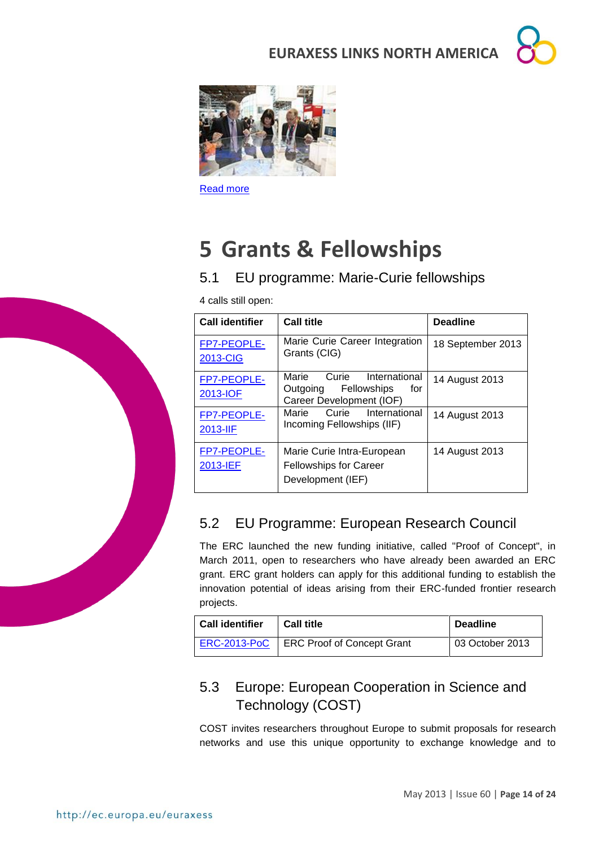



[Read more](http://ec.europa.eu/commission_2010-2014/geoghegan-quinn/headlines/speeches/2013/20130411-hannover-messe_en.htm)

## <span id="page-13-0"></span>**5 Grants & Fellowships**

## <span id="page-13-1"></span>5.1 EU programme: Marie-Curie fellowships

4 calls still open:

| <b>Call identifier</b>         | <b>Call title</b>                                                                             | <b>Deadline</b>   |  |
|--------------------------------|-----------------------------------------------------------------------------------------------|-------------------|--|
| FP7-PEOPLE-<br><b>2013-CIG</b> | Marie Curie Career Integration<br>Grants (CIG)                                                | 18 September 2013 |  |
| FP7-PEOPLE-<br>2013-IOF        | Curie<br>Marie<br>International<br>Fellowships<br>Outgoing<br>for<br>Career Development (IOF) | 14 August 2013    |  |
| FP7-PEOPLE-<br>2013-IIF        | Marie<br>Curie<br>International<br>Incoming Fellowships (IIF)                                 | 14 August 2013    |  |
| FP7-PEOPLE-<br>2013-IEF        | Marie Curie Intra-European<br><b>Fellowships for Career</b><br>Development (IEF)              | 14 August 2013    |  |

## <span id="page-13-2"></span>5.2 EU Programme: European Research Council

The ERC launched the new funding initiative, called "Proof of Concept", in March 2011, open to researchers who have already been awarded an ERC grant. ERC grant holders can apply for this additional funding to establish the innovation potential of ideas arising from their ERC-funded frontier research projects.

| <b>Call identifier</b> | <b>Call title</b>          | <b>Deadline</b> |  |
|------------------------|----------------------------|-----------------|--|
| <b>ERC-2013-PoC</b>    | ERC Proof of Concept Grant | 03 October 2013 |  |

## <span id="page-13-3"></span>5.3 Europe: European Cooperation in Science and Technology (COST)

COST invites researchers throughout Europe to submit proposals for research networks and use this unique opportunity to exchange knowledge and to

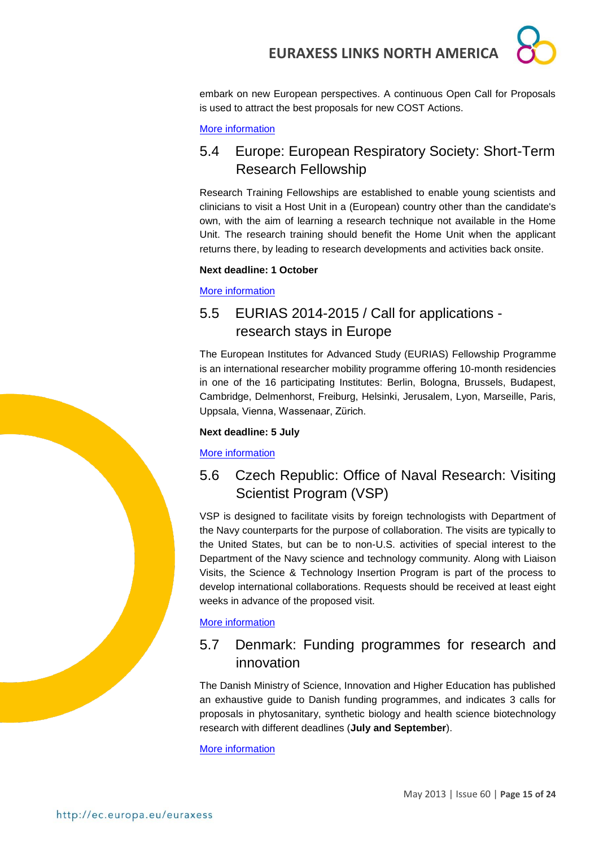

embark on new European perspectives. A continuous Open Call for Proposals is used to attract the best proposals for new COST Actions.

#### [More information](http://www.cost.eu/participate/open_call)

## <span id="page-14-0"></span>5.4 Europe: European Respiratory Society: Short-Term Research Fellowship

Research Training Fellowships are established to enable young scientists and clinicians to visit a Host Unit in a (European) country other than the candidate's own, with the aim of learning a research technique not available in the Home Unit. The research training should benefit the Home Unit when the applicant returns there, by leading to research developments and activities back onsite.

#### **Next deadline: 1 October**

[More information](http://www.ersnet.org/ers-funding/fellowships/short-term.html)

## <span id="page-14-1"></span>5.5 EURIAS 2014-2015 / Call for applications research stays in Europe

The European Institutes for Advanced Study (EURIAS) Fellowship Programme is an international researcher mobility programme offering 10-month residencies in one of the 16 participating Institutes: Berlin, Bologna, Brussels, Budapest, Cambridge, Delmenhorst, Freiburg, Helsinki, Jerusalem, Lyon, Marseille, Paris, Uppsala, Vienna, Wassenaar, Zürich.

#### **Next deadline: 5 July**

[More information](http://www.2014-2015.eurias-fp.eu/)

## <span id="page-14-2"></span>5.6 Czech Republic: Office of Naval Research: Visiting Scientist Program (VSP)

VSP is designed to facilitate visits by foreign technologists with Department of the Navy counterparts for the purpose of collaboration. The visits are typically to the United States, but can be to non-U.S. activities of special interest to the Department of the Navy science and technology community. Along with Liaison Visits, the Science & Technology Insertion Program is part of the process to develop international collaborations. Requests should be received at least eight weeks in advance of the proposed visit.

[More information](http://prague.usembassy.gov/onr.html)

## <span id="page-14-3"></span>5.7 Denmark: Funding programmes for research and innovation

The Danish Ministry of Science, Innovation and Higher Education has published an exhaustive guide to Danish funding programmes, and indicates 3 calls for proposals in phytosanitary, synthetic biology and health science biotechnology research with different deadlines (**July and September**).

[More information](http://fivu.dk/en/research-and-innovation/funding-programmes-for-research-and-innovation/guide-to-funding)

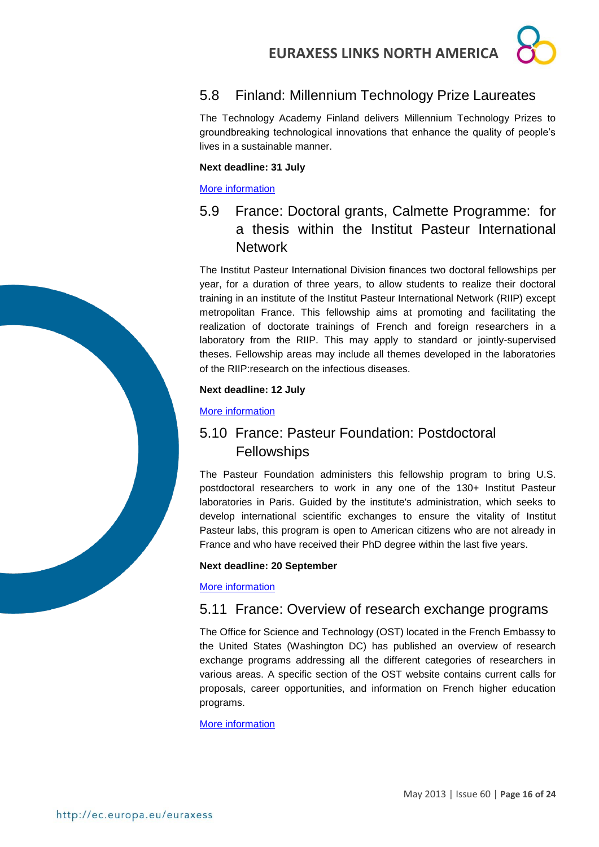## <span id="page-15-0"></span>5.8 Finland: Millennium Technology Prize Laureates

The Technology Academy Finland delivers Millennium Technology Prizes to groundbreaking technological innovations that enhance the quality of people's lives in a sustainable manner.

#### **Next deadline: 31 July**

#### [More information](http://www.technologyacademy.fi/call-for-nominations/)

## <span id="page-15-1"></span>5.9 France: Doctoral grants, Calmette Programme: for a thesis within the Institut Pasteur International **Network**

The Institut Pasteur International Division finances two doctoral fellowships per year, for a duration of three years, to allow students to realize their doctoral training in an institute of the Institut Pasteur International Network (RIIP) except metropolitan France. This fellowship aims at promoting and facilitating the realization of doctorate trainings of French and foreign researchers in a laboratory from the RIIP. This may apply to standard or jointly-supervised theses. Fellowship areas may include all themes developed in the laboratories of the RIIP:research on the infectious diseases.

#### **Next deadline: 12 July**

#### [More information](http://www.pasteur-international.org/ip/easysite/pasteur-international-en/for-scientists/fellowships2/doctoral-grants2)

## <span id="page-15-2"></span>5.10 France: Pasteur Foundation: Postdoctoral **Fellowships**

The Pasteur Foundation administers this fellowship program to bring U.S. postdoctoral researchers to work in any one of the 130+ Institut Pasteur laboratories in Paris. Guided by the institute's administration, which seeks to develop international scientific exchanges to ensure the vitality of Institut Pasteur labs, this program is open to American citizens who are not already in France and who have received their PhD degree within the last five years.

#### **Next deadline: 20 September**

#### [More information](http://www.pasteurfoundation.org/fellowships.shtml)

## <span id="page-15-3"></span>5.11 France: Overview of research exchange programs

The Office for Science and Technology (OST) located in the French Embassy to the United States (Washington DC) has published an overview of research exchange programs addressing all the different categories of researchers in various areas. A specific section of the OST website contains current calls for proposals, career opportunities, and information on French higher education programs.

[More information](http://france-science.org/USA-France-Mobility-Schemes.html)

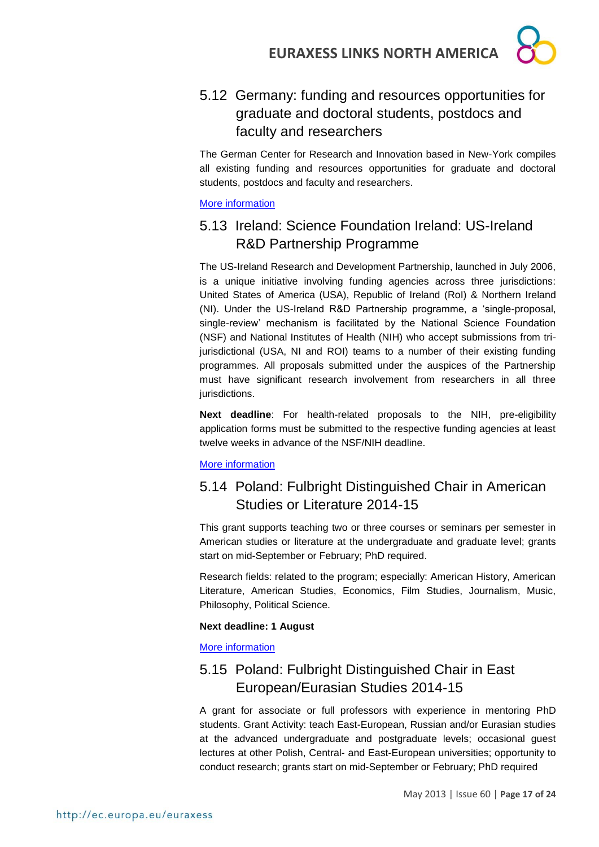

## <span id="page-16-0"></span>5.12 Germany: funding and resources opportunities for graduate and doctoral students, postdocs and faculty and researchers

The German Center for Research and Innovation based in New-York compiles all existing funding and resources opportunities for graduate and doctoral students, postdocs and faculty and researchers.

[More information](http://www.germaninnovation.org/resources/faculty-and-researchers)

## <span id="page-16-1"></span>5.13 Ireland: Science Foundation Ireland: US-Ireland R&D Partnership Programme

The US-Ireland Research and Development Partnership, launched in July 2006, is a unique initiative involving funding agencies across three jurisdictions: United States of America (USA), Republic of Ireland (RoI) & Northern Ireland (NI). Under the US-Ireland R&D Partnership programme, a 'single-proposal, single-review' mechanism is facilitated by the National Science Foundation (NSF) and National Institutes of Health (NIH) who accept submissions from trijurisdictional (USA, NI and ROI) teams to a number of their existing funding programmes. All proposals submitted under the auspices of the Partnership must have significant research involvement from researchers in all three jurisdictions.

**Next deadline**: For health-related proposals to the NIH, pre-eligibility application forms must be submitted to the respective funding agencies at least twelve weeks in advance of the NSF/NIH deadline.

#### [More information](http://www.sfi.ie/funding/funding-calls/open-calls/us-ireland-rd-partnership-programme/)

## <span id="page-16-2"></span>5.14 Poland: Fulbright Distinguished Chair in American Studies or Literature 2014-15

This grant supports teaching two or three courses or seminars per semester in American studies or literature at the undergraduate and graduate level; grants start on mid-September or February; PhD required.

Research fields: related to the program; especially: American History, American Literature, American Studies, Economics, Film Studies, Journalism, Music, Philosophy, Political Science.

#### **Next deadline: 1 August**

[More information](http://catalog.cies.org/viewAward.aspx?n=4297&dc=PL)

## <span id="page-16-3"></span>5.15 Poland: Fulbright Distinguished Chair in East European/Eurasian Studies 2014-15

A grant for associate or full professors with experience in mentoring PhD students. Grant Activity: teach East-European, Russian and/or Eurasian studies at the advanced undergraduate and postgraduate levels; occasional guest lectures at other Polish, Central- and East-European universities; opportunity to conduct research; grants start on mid-September or February; PhD required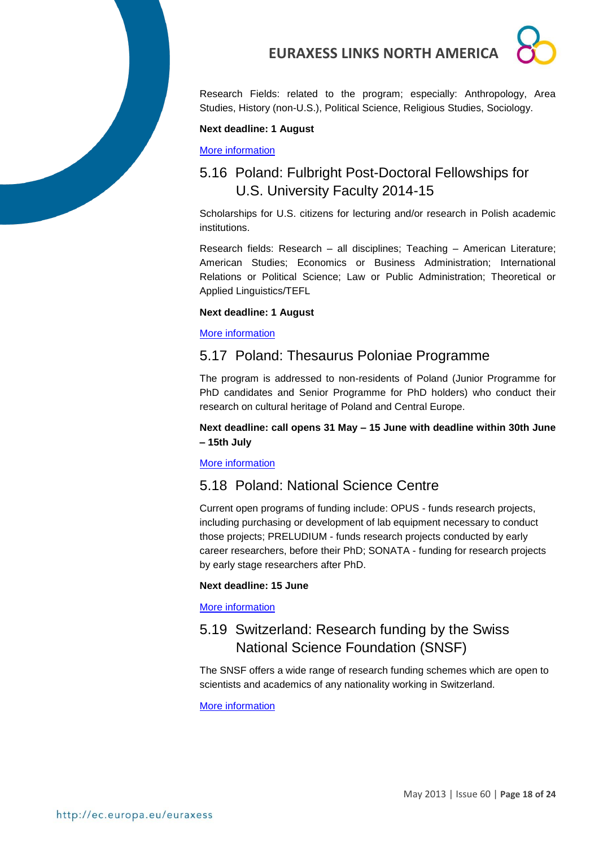

Research Fields: related to the program; especially: Anthropology, Area Studies, History (non-U.S.), Political Science, Religious Studies, Sociology.

#### **Next deadline: 1 August**

[More information](http://catalog.cies.org/viewAward.aspx?n=4298&dc=PL)

## <span id="page-17-0"></span>5.16 Poland: Fulbright Post-Doctoral Fellowships for U.S. University Faculty 2014-15

Scholarships for U.S. citizens for lecturing and/or research in Polish academic institutions.

Research fields: Research – all disciplines; Teaching – American Literature; American Studies; Economics or Business Administration; International Relations or Political Science; Law or Public Administration; Theoretical or Applied Linguistics/TEFL

#### **Next deadline: 1 August**

[More information](http://catalog.cies.org/searchResults.aspx?wa=EU)

### <span id="page-17-1"></span>5.17 Poland: Thesaurus Poloniae Programme

The program is addressed to non-residents of Poland (Junior Programme for PhD candidates and Senior Programme for PhD holders) who conduct their research on cultural heritage of Poland and Central Europe.

#### **Next deadline: call opens 31 May – 15 June with deadline within 30th June – 15th July**

#### [More information](http://www.mck.krakow.pl/page/thesaurus-poloniae-1)

### <span id="page-17-2"></span>5.18 Poland: National Science Centre

Current open programs of funding include: OPUS - funds research projects, including purchasing or development of lab equipment necessary to conduct those projects; PRELUDIUM - funds research projects conducted by early career researchers, before their PhD; SONATA - funding for research projects by early stage researchers after PhD.

#### **Next deadline: 15 June**

#### [More information](http://www.ncn.gov.pl/aktualnosci/2013-03-15-konkursy-ogloszenie?language=en)

## <span id="page-17-3"></span>5.19 Switzerland: Research funding by the Swiss National Science Foundation (SNSF)

The SNSF offers a wide range of research funding schemes which are open to scientists and academics of any nationality working in Switzerland.

[More information](http://www.snf.ch/E/funding/Pages/default.aspx)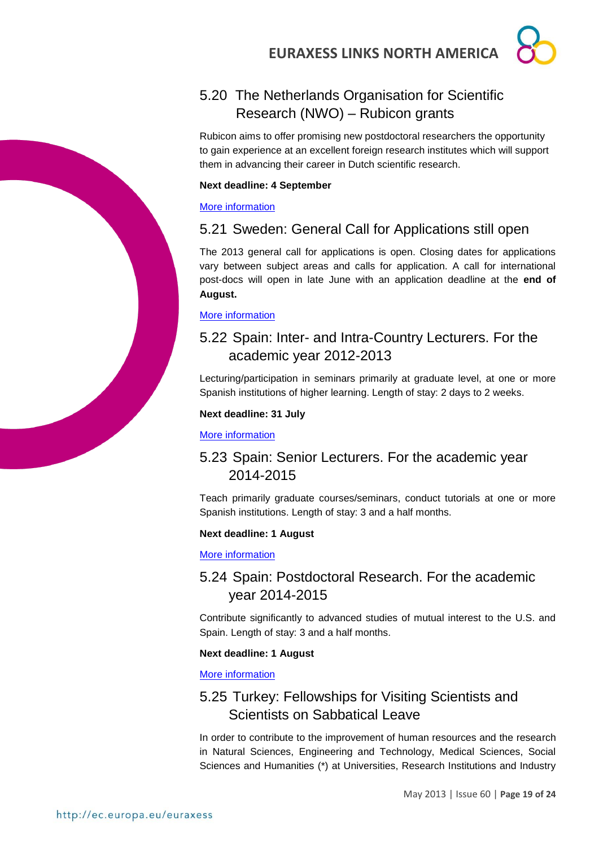## <span id="page-18-0"></span>5.20 The Netherlands Organisation for Scientific Research (NWO) – Rubicon grants

Rubicon aims to offer promising new postdoctoral researchers the opportunity to gain experience at an excellent foreign research institutes which will support them in advancing their career in Dutch scientific research.

#### **Next deadline: 4 September**

#### [More information](http://www.nwo.nl/en/funding/our-funding-instruments/nwo/rubicon/index.html)

## <span id="page-18-1"></span>5.21 Sweden: General Call for Applications still open

The 2013 general call for applications is open. Closing dates for applications vary between subject areas and calls for application. A call for international post-docs will open in late June with an application deadline at the **end of August.** 

#### [More information](http://www.vr.se/inenglish/researchfunding/ourgrants2013.4.44482f6612355bb5ee780002186.html)

## <span id="page-18-2"></span>5.22 Spain: Inter- and Intra-Country Lecturers. For the academic year 2012-2013

Lecturing/participation in seminars primarily at graduate level, at one or more Spanish institutions of higher learning. Length of stay: 2 days to 2 weeks.

#### **Next deadline: 31 July**

#### [More information](http://www.fulbright.es/convocatorias/ver/1381/inter-and-intra-country-lecturers/2012-2013)

## <span id="page-18-3"></span>5.23 Spain: Senior Lecturers. For the academic year 2014-2015

Teach primarily graduate courses/seminars, conduct tutorials at one or more Spanish institutions. Length of stay: 3 and a half months.

#### **Next deadline: 1 August**

#### [More information](http://www.fulbright.es/convocatorias/ver/1391/senior-lecturers/2014-2015)

## <span id="page-18-4"></span>5.24 Spain: Postdoctoral Research. For the academic year 2014-2015

Contribute significantly to advanced studies of mutual interest to the U.S. and Spain. Length of stay: 3 and a half months.

#### **Next deadline: 1 August**

#### [More information](http://www.fulbright.es/convocatorias/ver/1392/postdoctoral-research/2014-2015)

## <span id="page-18-5"></span>5.25 Turkey: Fellowships for Visiting Scientists and Scientists on Sabbatical Leave

In order to contribute to the improvement of human resources and the research in Natural Sciences, Engineering and Technology, Medical Sciences, Social Sciences and Humanities (\*) at Universities, Research Institutions and Industry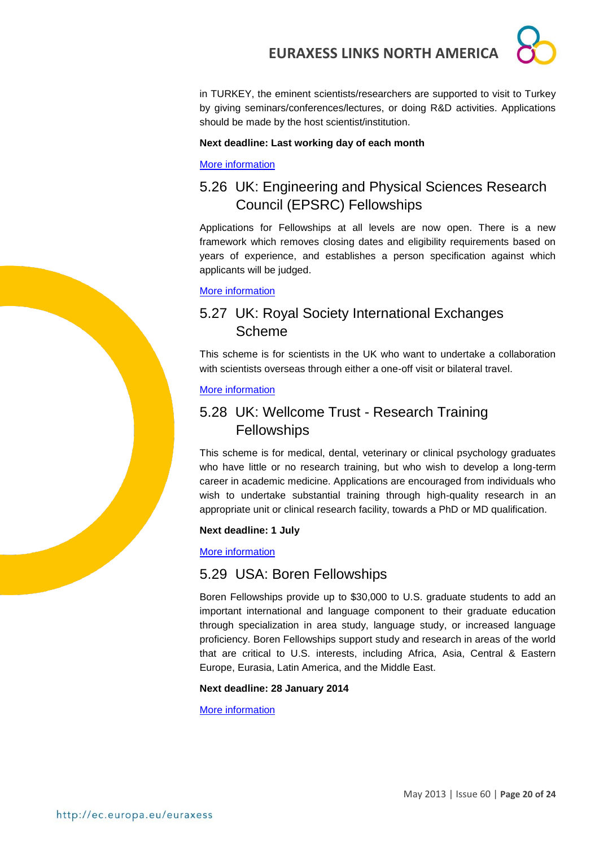

in TURKEY, the eminent scientists/researchers are supported to visit to Turkey by giving seminars/conferences/lectures, or doing R&D activities. Applications should be made by the host scientist/institution.

### **Next deadline: Last working day of each month**

### [More information](http://www.tubitak.gov.tr/en/scholarship/postdoctoral/international-programmes/content-2221-fellowships-for-visiting-scientists-and-scientists-on-sabbatical-leave)

## <span id="page-19-0"></span>5.26 UK: Engineering and Physical Sciences Research Council (EPSRC) Fellowships

Applications for Fellowships at all levels are now open. There is a new framework which removes closing dates and eligibility requirements based on years of experience, and establishes a person specification against which applicants will be judged.

#### [More information](http://www.epsrc.ac.uk/skills/fellows/Pages/fellowships.aspx)

## <span id="page-19-1"></span>5.27 UK: Royal Society International Exchanges Scheme

This scheme is for scientists in the UK who want to undertake a collaboration with scientists overseas through either a one-off visit or bilateral travel.

#### [More information](http://royalsociety.org/grants/schemes/international-exchanges/)

## <span id="page-19-2"></span>5.28 UK: Wellcome Trust - Research Training **Fellowships**

This scheme is for medical, dental, veterinary or clinical psychology graduates who have little or no research training, but who wish to develop a long-term career in academic medicine. Applications are encouraged from individuals who wish to undertake substantial training through high-quality research in an appropriate unit or clinical research facility, towards a PhD or MD qualification.

#### **Next deadline: 1 July**

#### [More information](http://www.wellcome.ac.uk/Funding/Biomedical-science/Funding-schemes/Fellowships/Clinical-fellowships/WTD004435.htm)

### <span id="page-19-3"></span>5.29 USA: Boren Fellowships

Boren Fellowships provide up to \$30,000 to U.S. graduate students to add an important international and language component to their graduate education through specialization in area study, language study, or increased language proficiency. Boren Fellowships support study and research in areas of the world that are critical to U.S. interests, including Africa, Asia, Central & Eastern Europe, Eurasia, Latin America, and the Middle East.

#### **Next deadline: 28 January 2014**

[More information](http://www.borenawards.org/boren_fellowship)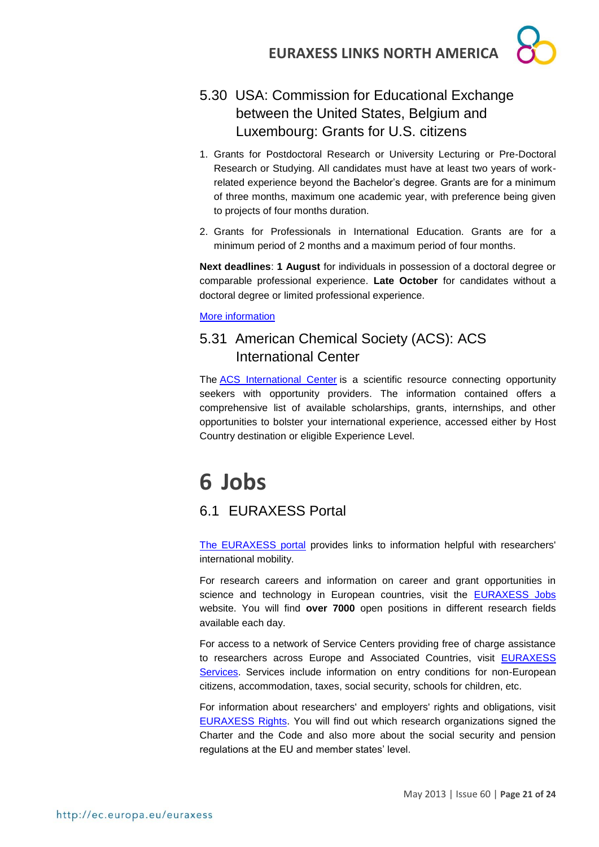## <span id="page-20-0"></span>5.30 USA: Commission for Educational Exchange between the United States, Belgium and Luxembourg: Grants for U.S. citizens

- 1. Grants for Postdoctoral Research or University Lecturing or Pre-Doctoral Research or Studying. All candidates must have at least two years of workrelated experience beyond the Bachelor's degree. Grants are for a minimum of three months, maximum one academic year, with preference being given to projects of four months duration.
- 2. Grants for Professionals in International Education. Grants are for a minimum period of 2 months and a maximum period of four months.

**Next deadlines**: **1 August** for individuals in possession of a doctoral degree or comparable professional experience. **Late October** for candidates without a doctoral degree or limited professional experience.

[More information](http://www.fulbright.be/fulbright-awards/fulbright-schuman/grants-for-us-citizens/)

## <span id="page-20-1"></span>5.31 American Chemical Society (ACS): ACS International Center

The [ACS International Center](http://www.acs.org/ic) is a scientific resource connecting opportunity seekers with opportunity providers. The information contained offers a comprehensive list of available scholarships, grants, internships, and other opportunities to bolster your international experience, accessed either by Host Country destination or eligible Experience Level.

## <span id="page-20-2"></span>**6 Jobs**

## <span id="page-20-3"></span>6.1 EURAXESS Portal

[The EURAXESS portal](http://ec.europa.eu/euraxess/index.cfm/general/index) provides links to information helpful with researchers' international mobility.

For research careers and information on career and grant opportunities in science and technology in European countries, visit the [EURAXESS Jobs](http://ec.europa.eu/euraxess/index.cfm/jobs/index) website. You will find **over 7000** open positions in different research fields available each day.

For access to a network of Service Centers providing free of charge assistance to researchers across Europe and Associated Countries, visit [EURAXESS](http://ec.europa.eu/euraxess/index.cfm/services/index)  [Services.](http://ec.europa.eu/euraxess/index.cfm/services/index) Services include information on entry conditions for non-European citizens, accommodation, taxes, social security, schools for children, etc.

For information about researchers' and employers' rights and obligations, visit [EURAXESS Rights.](http://ec.europa.eu/euraxess/index.cfm/rights/index) You will find out which research organizations signed the Charter and the Code and also more about the social security and pension regulations at the EU and member states' level.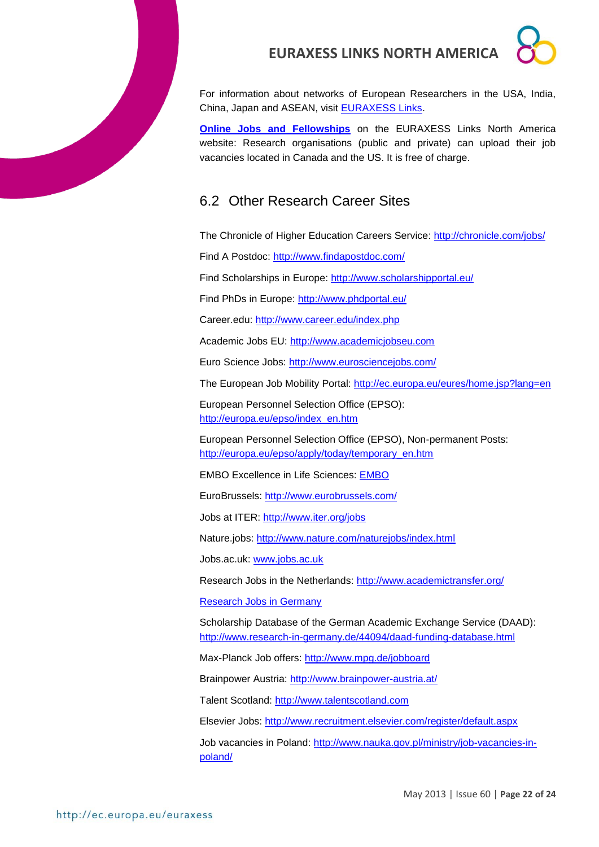For information about networks of European Researchers in the USA, India, China, Japan and ASEAN, visit [EURAXESS Links.](http://ec.europa.eu/euraxess/links/index_en.htm?CFID=11359184&CFTOKEN=f091c6e9d611fc5e-36385075-A3C1-573C-6964EDADAAF522B5&jsessionid=b102931478fb2f85c1d845717b67451a124eTR)

**[Online Jobs and Fellowships](http://ec.europa.eu/euraxess/links/usa/index_en.htm)** on the EURAXESS Links North America website: Research organisations (public and private) can upload their job vacancies located in Canada and the US. It is free of charge.

## <span id="page-21-0"></span>6.2 Other Research Career Sites

The Chronicle of Higher Education Careers Service: http://chronicle.com/jobs/

Find A Postdoc:<http://www.findapostdoc.com/>

Find Scholarships in Europe:<http://www.scholarshipportal.eu/>

Find PhDs in Europe:<http://www.phdportal.eu/>

Career.edu:<http://www.career.edu/index.php>

Academic Jobs EU: [http://www.academicjobseu.com](http://www.academicjobseu.com/) 

Euro Science Jobs:<http://www.eurosciencejobs.com/>

The European Job Mobility Portal:<http://ec.europa.eu/eures/home.jsp?lang=en>

European Personnel Selection Office (EPSO): [http://europa.eu/epso/index\\_en.htm](http://europa.eu/epso/index_en.htm) 

European Personnel Selection Office (EPSO), Non-permanent Posts: [http://europa.eu/epso/apply/today/temporary\\_en.htm](http://europa.eu/epso/apply/today/temporary_en.htm) 

EMBO Excellence in Life Sciences: [EMBO](http://www.embo.org/)

EuroBrussels:<http://www.eurobrussels.com/>

Jobs at ITER: http://www.iter.org/jobs

Nature.jobs:<http://www.nature.com/naturejobs/index.html>

Jobs.ac.uk: [www.jobs.ac.uk](http://www.jobs.ac.uk/) 

Research Jobs in the Netherlands:<http://www.academictransfer.org/>

[Research Jobs in Germany](http://www.research-in-germany.de/research-career-in-germany/jobs/29640/academics-com-i-frame.html)

Scholarship Database of the German Academic Exchange Service (DAAD): <http://www.research-in-germany.de/44094/daad-funding-database.html>

Max-Planck Job offers:<http://www.mpg.de/jobboard>

Brainpower Austria:<http://www.brainpower-austria.at/>

Talent Scotland: [http://www.talentscotland.com](http://www.talentscotland.com/) 

Elsevier Jobs:<http://www.recruitment.elsevier.com/register/default.aspx>

Job vacancies in Poland: [http://www.nauka.gov.pl/ministry/job-vacancies-in](http://www.nauka.gov.pl/ministry/job-vacancies-in-poland/)[poland/](http://www.nauka.gov.pl/ministry/job-vacancies-in-poland/)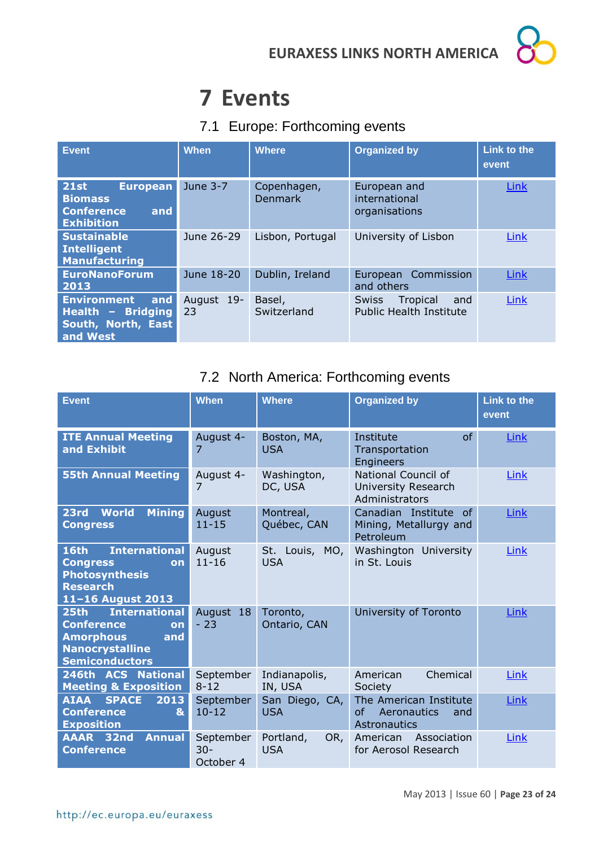## <span id="page-22-0"></span>**7 Events**

## <span id="page-22-1"></span>7.1 Europe: Forthcoming events

| <b>Event</b>                                                                                      | <b>When</b>      | <b>Where</b>                  | <b>Organized by</b>                                               | <b>Link to the</b><br>event |
|---------------------------------------------------------------------------------------------------|------------------|-------------------------------|-------------------------------------------------------------------|-----------------------------|
| <b>21st</b><br><b>European</b><br><b>Biomass</b><br><b>Conference</b><br>and<br><b>Exhibition</b> | June 3-7         | Copenhagen,<br><b>Denmark</b> | European and<br>international<br>organisations                    | Link                        |
| <b>Sustainable</b><br><b>Intelligent</b><br><b>Manufacturing</b>                                  | June 26-29       | Lisbon, Portugal              | University of Lisbon                                              | Link                        |
| <b>EuroNanoForum</b><br>2013                                                                      | June 18-20       | Dublin, Ireland               | European Commission<br>and others                                 | Link                        |
| <b>Environment</b><br>and<br>Health - Bridging<br>South, North, East<br>and West                  | August 19-<br>23 | Basel,<br>Switzerland         | Tropical<br><b>Swiss</b><br>and<br><b>Public Health Institute</b> | Link                        |

## <span id="page-22-2"></span>7.2 North America: Forthcoming events

| <b>Event</b>                                                                                                                | <b>When</b>                      | <b>Where</b>                   | <b>Organized by</b>                                                       | Link to the<br>event |
|-----------------------------------------------------------------------------------------------------------------------------|----------------------------------|--------------------------------|---------------------------------------------------------------------------|----------------------|
| <b>ITE Annual Meeting</b><br>and Exhibit                                                                                    | August 4-<br>7                   | Boston, MA,<br><b>USA</b>      | Institute<br>of<br>Transportation<br><b>Engineers</b>                     | Link                 |
| <b>55th Annual Meeting</b>                                                                                                  | August 4-<br>7                   | Washington,<br>DC, USA         | National Council of<br>University Research<br>Administrators              | Link                 |
| <b>World</b><br><b>Mining</b><br>23rd<br><b>Congress</b>                                                                    | August<br>$11 - 15$              | Montreal,<br>Québec, CAN       | Canadian Institute of<br>Mining, Metallurgy and<br>Petroleum              | Link                 |
| <b>International</b><br>16th<br><b>Congress</b><br>on<br><b>Photosynthesis</b><br><b>Research</b><br>11-16 August 2013      | August<br>$11 - 16$              | St. Louis, MO,<br><b>USA</b>   | Washington University<br>in St. Louis                                     | Link                 |
| 25th International<br><b>Conference</b><br>on<br><b>Amorphous</b><br>and<br><b>Nanocrystalline</b><br><b>Semiconductors</b> | August 18<br>$-23$               | Toronto,<br>Ontario, CAN       | University of Toronto                                                     | Link                 |
| 246th ACS National<br><b>Meeting &amp; Exposition</b>                                                                       | September<br>$8 - 12$            | Indianapolis,<br>IN, USA       | Chemical<br>American<br>Society                                           | Link                 |
| <b>AIAA</b><br><b>SPACE</b><br>2013<br><b>Conference</b><br>&<br><b>Exposition</b>                                          | September<br>$10 - 12$           | San Diego, CA,<br><b>USA</b>   | The American Institute<br><b>of</b><br>Aeronautics<br>and<br>Astronautics | Link                 |
| AAAR 32nd<br><b>Annual</b><br><b>Conference</b>                                                                             | September<br>$30 -$<br>October 4 | Portland,<br>OR,<br><b>USA</b> | Association<br>American<br>for Aerosol Research                           | Link                 |